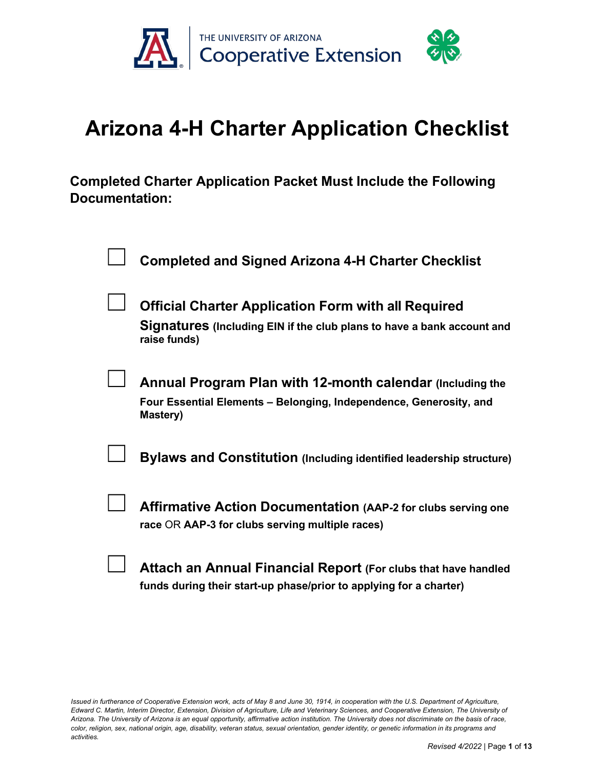

# **Arizona 4-H Charter Application Checklist**

**Completed Charter Application Packet Must Include the Following Documentation:**

| <b>Completed and Signed Arizona 4-H Charter Checklist</b>                                                                                            |
|------------------------------------------------------------------------------------------------------------------------------------------------------|
| <b>Official Charter Application Form with all Required</b><br>Signatures (Including EIN if the club plans to have a bank account and<br>raise funds) |
| Annual Program Plan with 12-month calendar (Including the<br>Four Essential Elements - Belonging, Independence, Generosity, and<br>Mastery)          |
| <b>Bylaws and Constitution (Including identified leadership structure)</b>                                                                           |
| <b>Affirmative Action Documentation (AAP-2 for clubs serving one</b><br>race OR AAP-3 for clubs serving multiple races)                              |
| Attach an Annual Financial Report (For clubs that have handled                                                                                       |

**funds during their start-up phase/prior to applying for a charter)**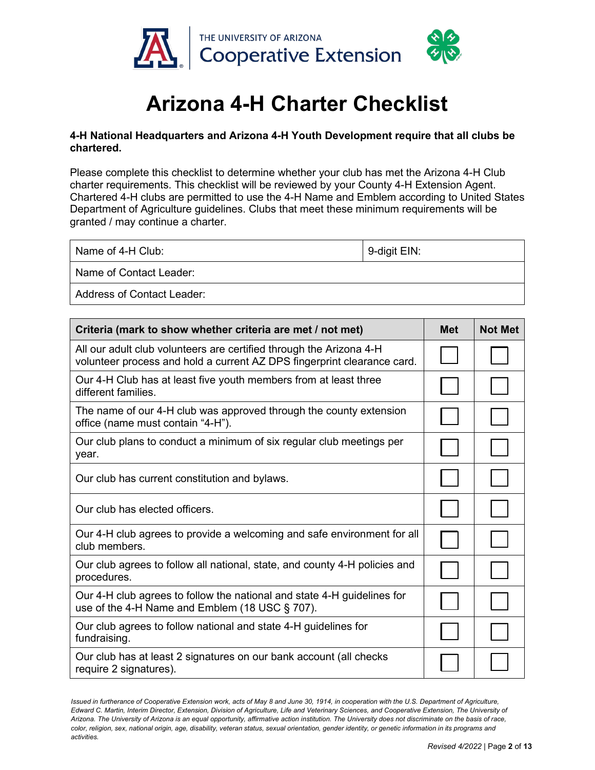

# **Arizona 4-H Charter Checklist**

### **4-H National Headquarters and Arizona 4-H Youth Development require that all clubs be chartered.**

Please complete this checklist to determine whether your club has met the Arizona 4-H Club charter requirements. This checklist will be reviewed by your County 4-H Extension Agent. Chartered 4-H clubs are permitted to use the 4-H Name and Emblem according to United States Department of Agriculture guidelines. Clubs that meet these minimum requirements will be granted / may continue a charter.

| Name of 4-H Club:          | 9-digit EIN: |  |
|----------------------------|--------------|--|
| Name of Contact Leader:    |              |  |
| Address of Contact Leader: |              |  |

| Criteria (mark to show whether criteria are met / not met)                                                                                     | <b>Met</b> | <b>Not Met</b> |
|------------------------------------------------------------------------------------------------------------------------------------------------|------------|----------------|
| All our adult club volunteers are certified through the Arizona 4-H<br>volunteer process and hold a current AZ DPS fingerprint clearance card. |            |                |
| Our 4-H Club has at least five youth members from at least three<br>different families.                                                        |            |                |
| The name of our 4-H club was approved through the county extension<br>office (name must contain "4-H").                                        |            |                |
| Our club plans to conduct a minimum of six regular club meetings per<br>year.                                                                  |            |                |
| Our club has current constitution and bylaws.                                                                                                  |            |                |
| Our club has elected officers.                                                                                                                 |            |                |
| Our 4-H club agrees to provide a welcoming and safe environment for all<br>club members.                                                       |            |                |
| Our club agrees to follow all national, state, and county 4-H policies and<br>procedures.                                                      |            |                |
| Our 4-H club agrees to follow the national and state 4-H guidelines for<br>use of the 4-H Name and Emblem (18 USC § 707).                      |            |                |
| Our club agrees to follow national and state 4-H guidelines for<br>fundraising.                                                                |            |                |
| Our club has at least 2 signatures on our bank account (all checks<br>require 2 signatures).                                                   |            |                |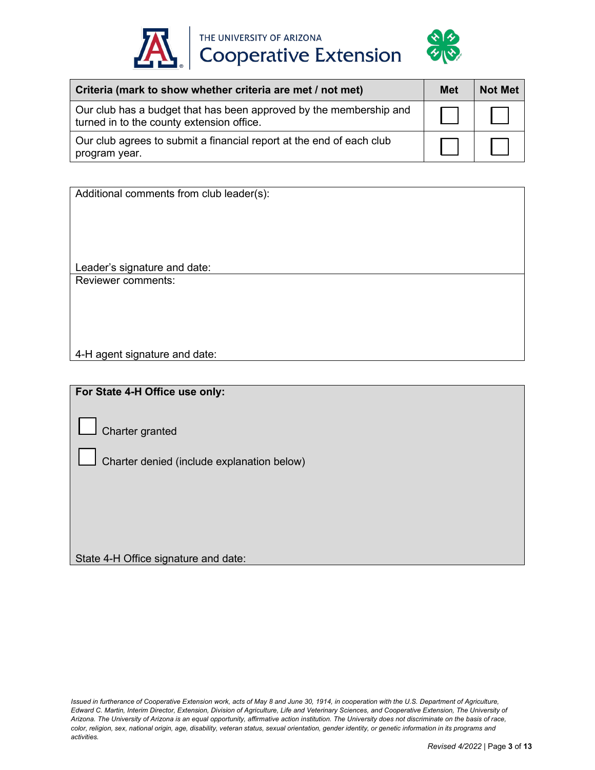

THE UNIVERSITY OF ARIZONA<br>Cooperative Extension



| Criteria (mark to show whether criteria are met / not met)                                                      | Met | <b>Not Met</b> |
|-----------------------------------------------------------------------------------------------------------------|-----|----------------|
| Our club has a budget that has been approved by the membership and<br>turned in to the county extension office. |     |                |
| Our club agrees to submit a financial report at the end of each club<br>program year.                           |     |                |

| Additional comments from club leader(s): |
|------------------------------------------|
|                                          |
|                                          |
|                                          |
|                                          |
| Leader's signature and date:             |
| Reviewer comments:                       |
|                                          |
|                                          |
|                                          |
|                                          |
| 4-H agent signature and date:            |

**For State 4-H Office use only:**

☐Charter granted

☐Charter denied (include explanation below)

State 4-H Office signature and date: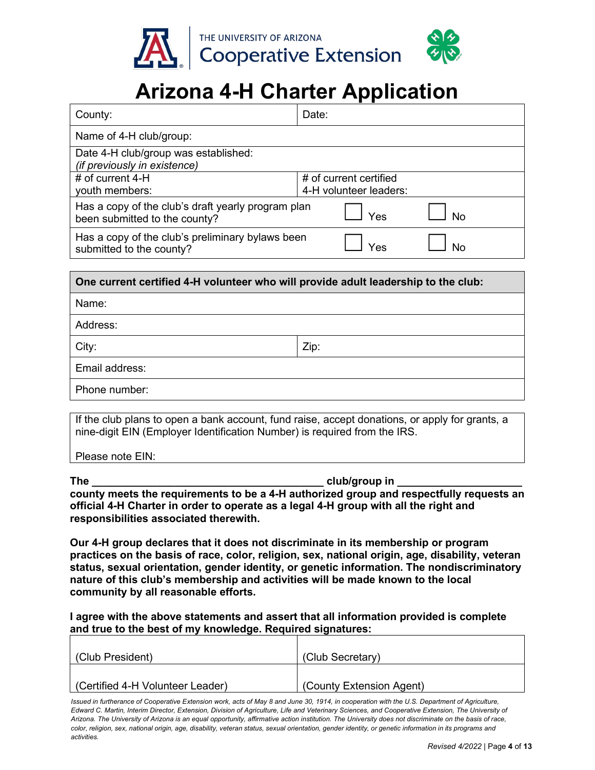

# **Arizona 4-H Charter Application**

| County:                                                                             | Date:                                            |                |  |
|-------------------------------------------------------------------------------------|--------------------------------------------------|----------------|--|
| Name of 4-H club/group:                                                             |                                                  |                |  |
| Date 4-H club/group was established:<br>(if previously in existence)                |                                                  |                |  |
| # of current $4-H$<br>youth members:                                                | # of current certified<br>4-H volunteer leaders: |                |  |
| Has a copy of the club's draft yearly program plan<br>been submitted to the county? | Yes                                              | N <sub>0</sub> |  |
| Has a copy of the club's preliminary bylaws been<br>submitted to the county?        | Yac                                              |                |  |

# **One current certified 4-H volunteer who will provide adult leadership to the club:**  Name: Address: City: Zip: Email address: Phone number:

If the club plans to open a bank account, fund raise, accept donations, or apply for grants, a nine-digit EIN (Employer Identification Number) is required from the IRS.

Please note EIN:

The club/group in  $\Box$ **county meets the requirements to be a 4-H authorized group and respectfully requests an official 4-H Charter in order to operate as a legal 4-H group with all the right and responsibilities associated therewith.**

**Our 4-H group declares that it does not discriminate in its membership or program practices on the basis of race, color, religion, sex, national origin, age, disability, veteran status, sexual orientation, gender identity, or genetic information. The nondiscriminatory nature of this club's membership and activities will be made known to the local community by all reasonable efforts.**

**I agree with the above statements and assert that all information provided is complete and true to the best of my knowledge. Required signatures:**

| (Club President)                | (Club Secretary)         |
|---------------------------------|--------------------------|
| Certified 4-H Volunteer Leader) | (County Extension Agent) |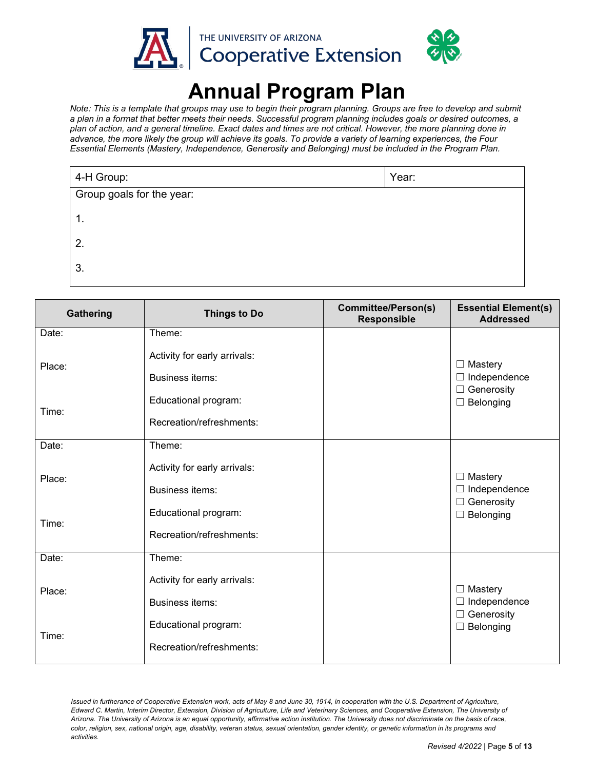

# **Annual Program Plan**

*Note: This is a template that groups may use to begin their program planning. Groups are free to develop and submit a plan in a format that better meets their needs. Successful program planning includes goals or desired outcomes, a plan of action, and a general timeline. Exact dates and times are not critical. However, the more planning done in advance, the more likely the group will achieve its goals. To provide a variety of learning experiences, the Four Essential Elements (Mastery, Independence, Generosity and Belonging) must be included in the Program Plan.*

| 4-H Group:                | Year: |  |
|---------------------------|-------|--|
| Group goals for the year: |       |  |
| 1.                        |       |  |
| 2.                        |       |  |
| 3.                        |       |  |

| Gathering | <b>Things to Do</b>                              | <b>Committee/Person(s)</b><br><b>Responsible</b> | <b>Essential Element(s)</b><br><b>Addressed</b>            |
|-----------|--------------------------------------------------|--------------------------------------------------|------------------------------------------------------------|
| Date:     | Theme:                                           |                                                  |                                                            |
| Place:    | Activity for early arrivals:<br>Business items:  |                                                  | $\Box$ Mastery<br>$\Box$ Independence                      |
| Time:     | Educational program:<br>Recreation/refreshments: |                                                  | $\Box$ Generosity<br>$\Box$ Belonging                      |
| Date:     | Theme:                                           |                                                  |                                                            |
| Place:    | Activity for early arrivals:<br>Business items:  |                                                  | $\Box$ Mastery<br>$\Box$ Independence<br>$\Box$ Generosity |
| Time:     | Educational program:<br>Recreation/refreshments: |                                                  | $\Box$ Belonging                                           |
| Date:     | Theme:                                           |                                                  |                                                            |
| Place:    | Activity for early arrivals:<br>Business items:  |                                                  | $\Box$ Mastery<br>$\Box$ Independence<br>$\Box$ Generosity |
| Time:     | Educational program:<br>Recreation/refreshments: |                                                  | $\Box$ Belonging                                           |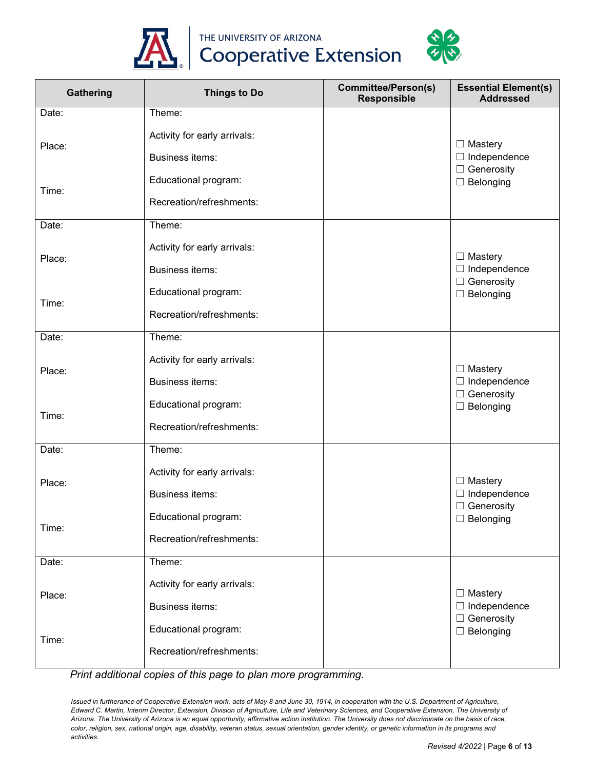



THE UNIVERSITY OF ARIZONA<br>Cooperative Extension

| Gathering | <b>Things to Do</b>          | <b>Committee/Person(s)</b><br>Responsible | <b>Essential Element(s)</b><br><b>Addressed</b> |
|-----------|------------------------------|-------------------------------------------|-------------------------------------------------|
| Date:     | Theme:                       |                                           |                                                 |
|           | Activity for early arrivals: |                                           |                                                 |
| Place:    | Business items:              |                                           | $\Box$ Mastery<br>$\Box$ Independence           |
|           | Educational program:         |                                           | $\Box$ Generosity<br>$\Box$ Belonging           |
| Time:     | Recreation/refreshments:     |                                           |                                                 |
| Date:     | Theme:                       |                                           |                                                 |
| Place:    | Activity for early arrivals: |                                           | $\Box$ Mastery                                  |
|           | Business items:              |                                           | $\Box$ Independence                             |
| Time:     | Educational program:         |                                           | $\Box$ Generosity<br>$\Box$ Belonging           |
|           | Recreation/refreshments:     |                                           |                                                 |
| Date:     | Theme:                       |                                           |                                                 |
| Place:    | Activity for early arrivals: |                                           | $\Box$ Mastery                                  |
|           | Business items:              |                                           | $\Box$ Independence                             |
| Time:     | Educational program:         |                                           | $\Box$ Generosity<br>$\Box$ Belonging           |
|           | Recreation/refreshments:     |                                           |                                                 |
| Date:     | Theme:                       |                                           |                                                 |
| Place:    | Activity for early arrivals: |                                           | $\Box$ Mastery                                  |
|           | Business items:              |                                           | $\Box$ Independence                             |
| Time:     | Educational program:         |                                           | $\Box$ Generosity<br>$\Box$ Belonging           |
|           | Recreation/refreshments:     |                                           |                                                 |
| Date:     | Theme:                       |                                           |                                                 |
|           | Activity for early arrivals: |                                           | $\Box$ Mastery                                  |
| Place:    | Business items:              |                                           | $\Box$ Independence                             |
|           | Educational program:         |                                           | $\Box$ Generosity<br>$\Box$ Belonging           |
| Time:     | Recreation/refreshments:     |                                           |                                                 |

*Print additional copies of this page to plan more programming.*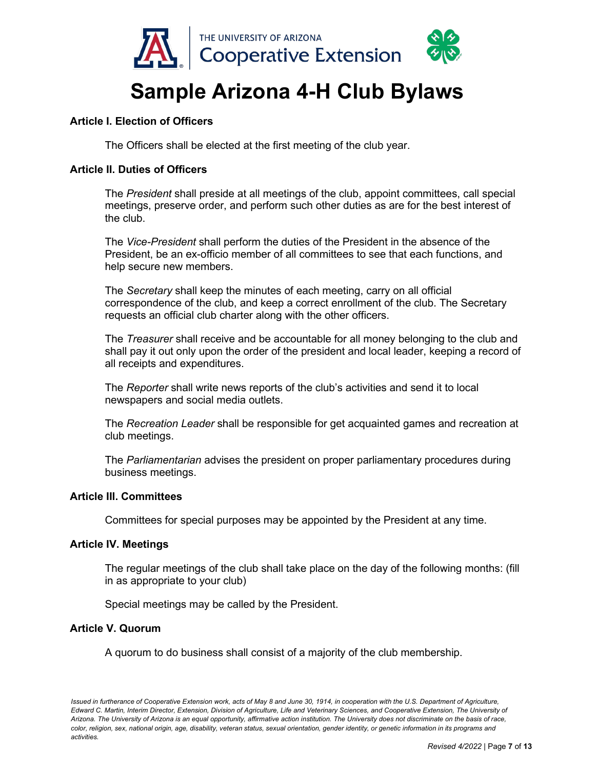

# **Sample Arizona 4-H Club Bylaws**

# **Article I. Election of Officers**

The Officers shall be elected at the first meeting of the club year.

# **Article II. Duties of Officers**

The *President* shall preside at all meetings of the club, appoint committees, call special meetings, preserve order, and perform such other duties as are for the best interest of the club.

The *Vice-President* shall perform the duties of the President in the absence of the President, be an ex-officio member of all committees to see that each functions, and help secure new members.

The *Secretary* shall keep the minutes of each meeting, carry on all official correspondence of the club, and keep a correct enrollment of the club. The Secretary requests an official club charter along with the other officers.

The *Treasurer* shall receive and be accountable for all money belonging to the club and shall pay it out only upon the order of the president and local leader, keeping a record of all receipts and expenditures.

The *Reporter* shall write news reports of the club's activities and send it to local newspapers and social media outlets.

The *Recreation Leader* shall be responsible for get acquainted games and recreation at club meetings.

The *Parliamentarian* advises the president on proper parliamentary procedures during business meetings.

#### **Article III. Committees**

Committees for special purposes may be appointed by the President at any time.

#### **Article IV. Meetings**

The regular meetings of the club shall take place on the day of the following months: (fill in as appropriate to your club)

Special meetings may be called by the President.

#### **Article V. Quorum**

A quorum to do business shall consist of a majority of the club membership.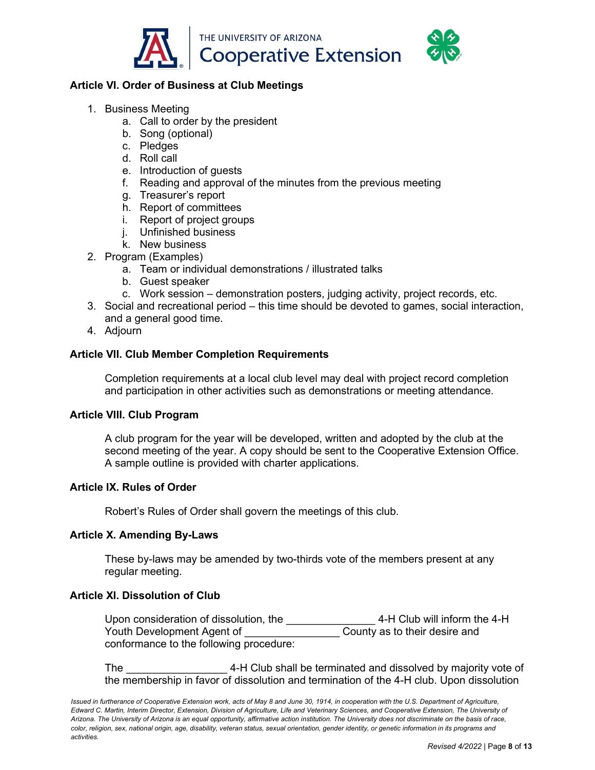

# **Article VI. Order of Business at Club Meetings**

- 1. Business Meeting
	- a. Call to order by the president
	- b. Song (optional)
	- c. Pledges
	- d. Roll call
	- e. Introduction of guests
	- f. Reading and approval of the minutes from the previous meeting
	- g. Treasurer's report
	- h. Report of committees
	- i. Report of project groups
	- j. Unfinished business
	- k. New business
- 2. Program (Examples)
	- a. Team or individual demonstrations / illustrated talks
	- b. Guest speaker
	- c. Work session demonstration posters, judging activity, project records, etc.
- 3. Social and recreational period this time should be devoted to games, social interaction, and a general good time.
- 4. Adjourn

# **Article VII. Club Member Completion Requirements**

Completion requirements at a local club level may deal with project record completion and participation in other activities such as demonstrations or meeting attendance.

# **Article VIII. Club Program**

A club program for the year will be developed, written and adopted by the club at the second meeting of the year. A copy should be sent to the Cooperative Extension Office. A sample outline is provided with charter applications.

# **Article IX. Rules of Order**

Robert's Rules of Order shall govern the meetings of this club.

# **Article X. Amending By-Laws**

These by-laws may be amended by two-thirds vote of the members present at any regular meeting.

# **Article XI. Dissolution of Club**

Upon consideration of dissolution, the \_\_\_\_\_\_\_\_\_\_\_\_\_\_\_\_\_\_\_\_4-H Club will inform the 4-H<br>Youth Development Agent of \_\_\_\_\_\_\_\_\_\_\_\_\_\_\_\_\_\_\_County as to their desire and Youth Development Agent of conformance to the following procedure:

The **The 2008** 4-H Club shall be terminated and dissolved by majority vote of the membership in favor of dissolution and termination of the 4-H club. Upon dissolution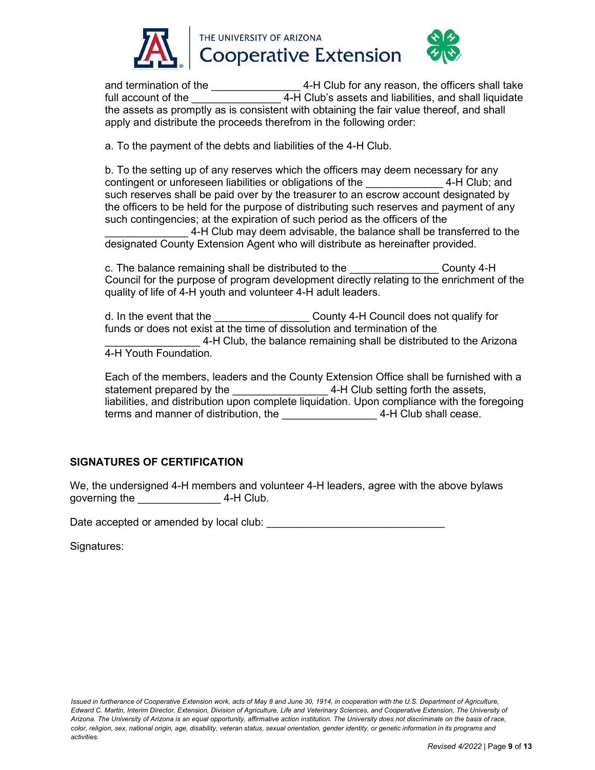

and termination of the \_\_\_\_\_\_\_\_\_\_\_\_\_\_\_\_\_\_4-H Club for any reason, the officers shall take full account of the \_\_\_\_\_\_\_\_\_\_\_\_\_\_\_ 4-H Club's assets and liabilities, and shall liquidate the assets as promptly as is consistent with obtaining the fair value thereof, and shall apply and distribute the proceeds therefrom in the following order:

a. To the payment of the debts and liabilities of the 4-H Club.

b. To the setting up of any reserves which the officers may deem necessary for any contingent or unforeseen liabilities or obligations of the \_\_\_\_\_\_\_\_\_\_\_\_\_ 4-H Club; and such reserves shall be paid over by the treasurer to an escrow account designated by the officers to be held for the purpose of distributing such reserves and payment of any such contingencies; at the expiration of such period as the officers of the

\_\_\_\_\_\_\_\_\_\_\_\_\_\_ 4-H Club may deem advisable, the balance shall be transferred to the designated County Extension Agent who will distribute as hereinafter provided.

c. The balance remaining shall be distributed to the The Sounty 4-H Council for the purpose of program development directly relating to the enrichment of the quality of life of 4-H youth and volunteer 4-H adult leaders.

d. In the event that the **EXACCOUNTED COUNTY 4-H Council does not qualify for** funds or does not exist at the time of dissolution and termination of the 4-H Club, the balance remaining shall be distributed to the Arizona 4-H Youth Foundation.

Each of the members, leaders and the County Extension Office shall be furnished with a statement prepared by the \_\_\_\_\_\_\_\_\_\_\_\_\_\_\_\_ 4-H Club setting forth the assets, liabilities, and distribution upon complete liquidation. Upon compliance with the foregoing terms and manner of distribution, the **ACCO 4-H Club shall cease.** 

# **SIGNATURES OF CERTIFICATION**

We, the undersigned 4-H members and volunteer 4-H leaders, agree with the above bylaws governing the  $4-H$  Club.

Date accepted or amended by local club:  $\Box$ 

Signatures: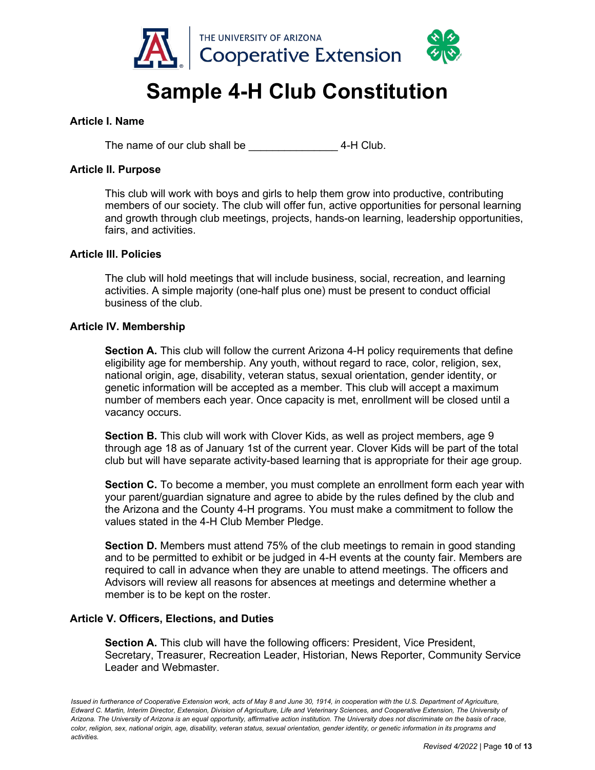

# **Sample 4-H Club Constitution**

### **Article I. Name**

The name of our club shall be  $\overline{a}$  4-H Club.

### **Article II. Purpose**

This club will work with boys and girls to help them grow into productive, contributing members of our society. The club will offer fun, active opportunities for personal learning and growth through club meetings, projects, hands-on learning, leadership opportunities, fairs, and activities.

### **Article Ill. Policies**

The club will hold meetings that will include business, social, recreation, and learning activities. A simple majority (one-half plus one) must be present to conduct official business of the club.

#### **Article IV. Membership**

**Section A.** This club will follow the current Arizona 4-H policy requirements that define eligibility age for membership. Any youth, without regard to race, color, religion, sex, national origin, age, disability, veteran status, sexual orientation, gender identity, or genetic information will be accepted as a member. This club will accept a maximum number of members each year. Once capacity is met, enrollment will be closed until a vacancy occurs.

**Section B.** This club will work with Clover Kids, as well as project members, age 9 through age 18 as of January 1st of the current year. Clover Kids will be part of the total club but will have separate activity-based learning that is appropriate for their age group.

**Section C.** To become a member, you must complete an enrollment form each year with your parent/guardian signature and agree to abide by the rules defined by the club and the Arizona and the County 4-H programs. You must make a commitment to follow the values stated in the 4-H Club Member Pledge.

**Section D.** Members must attend 75% of the club meetings to remain in good standing and to be permitted to exhibit or be judged in 4-H events at the county fair. Members are required to call in advance when they are unable to attend meetings. The officers and Advisors will review all reasons for absences at meetings and determine whether a member is to be kept on the roster.

#### **Article V. Officers, Elections, and Duties**

**Section A.** This club will have the following officers: President, Vice President, Secretary, Treasurer, Recreation Leader, Historian, News Reporter, Community Service Leader and Webmaster.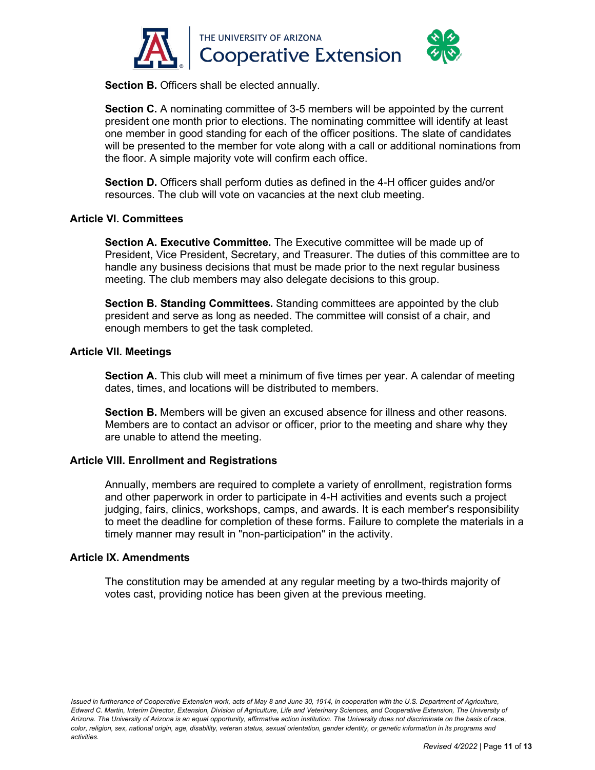

**Section B.** Officers shall be elected annually.

**Section C.** A nominating committee of 3-5 members will be appointed by the current president one month prior to elections. The nominating committee will identify at least one member in good standing for each of the officer positions. The slate of candidates will be presented to the member for vote along with a call or additional nominations from the floor. A simple majority vote will confirm each office.

**Section D.** Officers shall perform duties as defined in the 4-H officer guides and/or resources. The club will vote on vacancies at the next club meeting.

### **Article VI. Committees**

**Section A. Executive Committee.** The Executive committee will be made up of President, Vice President, Secretary, and Treasurer. The duties of this committee are to handle any business decisions that must be made prior to the next regular business meeting. The club members may also delegate decisions to this group.

**Section B. Standing Committees.** Standing committees are appointed by the club president and serve as long as needed. The committee will consist of a chair, and enough members to get the task completed.

### **Article VII. Meetings**

**Section A.** This club will meet a minimum of five times per year. A calendar of meeting dates, times, and locations will be distributed to members.

**Section B.** Members will be given an excused absence for illness and other reasons. Members are to contact an advisor or officer, prior to the meeting and share why they are unable to attend the meeting.

# **Article VIII. Enrollment and Registrations**

Annually, members are required to complete a variety of enrollment, registration forms and other paperwork in order to participate in 4-H activities and events such a project judging, fairs, clinics, workshops, camps, and awards. It is each member's responsibility to meet the deadline for completion of these forms. Failure to complete the materials in a timely manner may result in "non-participation" in the activity.

#### **Article IX. Amendments**

The constitution may be amended at any regular meeting by a two-thirds majority of votes cast, providing notice has been given at the previous meeting.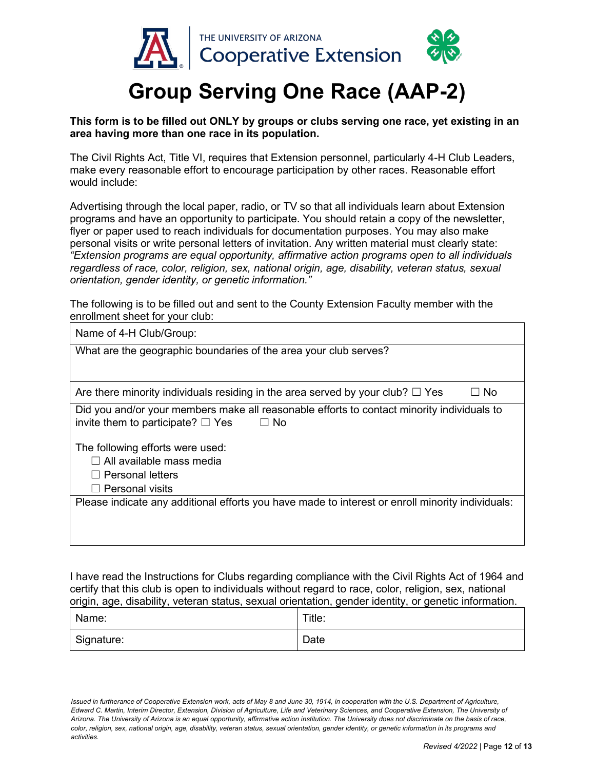

# **Group Serving One Race (AAP-2)**

### **This form is to be filled out ONLY by groups or clubs serving one race, yet existing in an area having more than one race in its population.**

The Civil Rights Act, Title VI, requires that Extension personnel, particularly 4-H Club Leaders, make every reasonable effort to encourage participation by other races. Reasonable effort would include:

Advertising through the local paper, radio, or TV so that all individuals learn about Extension programs and have an opportunity to participate. You should retain a copy of the newsletter, flyer or paper used to reach individuals for documentation purposes. You may also make personal visits or write personal letters of invitation. Any written material must clearly state: *"Extension programs are equal opportunity, affirmative action programs open to all individuals regardless of race, color, religion, sex, national origin, age, disability, veteran status, sexual orientation, gender identity, or genetic information."*

The following is to be filled out and sent to the County Extension Faculty member with the enrollment sheet for your club:

| Name of 4-H Club/Group:                                                                                                                      |  |  |
|----------------------------------------------------------------------------------------------------------------------------------------------|--|--|
| What are the geographic boundaries of the area your club serves?                                                                             |  |  |
|                                                                                                                                              |  |  |
| Are there minority individuals residing in the area served by your club? $\square$ Yes<br>- No                                               |  |  |
| Did you and/or your members make all reasonable efforts to contact minority individuals to<br>invite them to participate? $\Box$ Yes<br>⊟ No |  |  |
| The following efforts were used:                                                                                                             |  |  |
| $\Box$ All available mass media                                                                                                              |  |  |
| <b>Personal letters</b>                                                                                                                      |  |  |
| $\Box$ Personal visits                                                                                                                       |  |  |
| Please indicate any additional efforts you have made to interest or enroll minority individuals:                                             |  |  |

I have read the Instructions for Clubs regarding compliance with the Civil Rights Act of 1964 and certify that this club is open to individuals without regard to race, color, religion, sex, national origin, age, disability, veteran status, sexual orientation, gender identity, or genetic information.

| Name:      | Title: |
|------------|--------|
| Signature: | Date   |